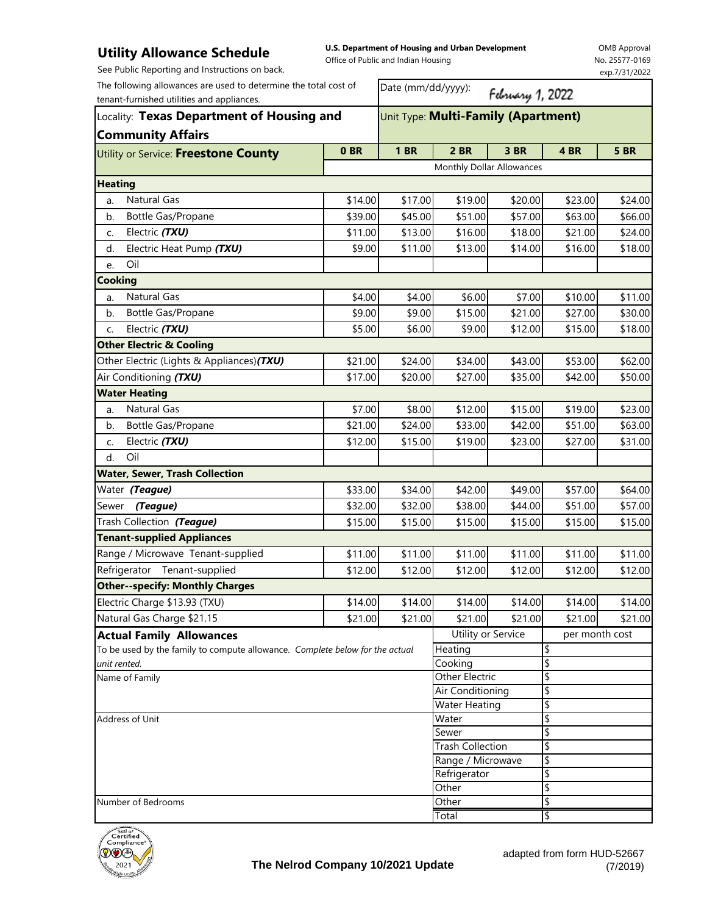## **Utility Allowance Schedule** See Public Reporting and Instructions on back.

**U.S. Department of Housing and Urban Development**  Office of Public and Indian Housing

OMB Approval No. 25577-0169 exp.7/31/2022

| The following allowances are used to determine the total cost of<br>tenant-furnished utilities and appliances.<br>Locality: Texas Department of Housing and<br><b>Community Affairs</b> |                    | Date (mm/dd/yyyy):<br>February 1, 2022       |                           |                    |                    |             |  |
|-----------------------------------------------------------------------------------------------------------------------------------------------------------------------------------------|--------------------|----------------------------------------------|---------------------------|--------------------|--------------------|-------------|--|
|                                                                                                                                                                                         |                    | Unit Type: Multi-Family (Apartment)          |                           |                    |                    |             |  |
| Utility or Service: Freestone County                                                                                                                                                    | 0BR                | <b>1 BR</b>                                  | <b>2 BR</b>               | <b>3 BR</b>        | 4 BR               | <b>5 BR</b> |  |
|                                                                                                                                                                                         |                    |                                              | Monthly Dollar Allowances |                    |                    |             |  |
| <b>Heating</b>                                                                                                                                                                          |                    |                                              |                           |                    |                    |             |  |
| <b>Natural Gas</b><br>a.                                                                                                                                                                | \$14.00            | \$17.00                                      | \$19.00                   | \$20.00            | \$23.00            | \$24.00     |  |
| Bottle Gas/Propane<br>b.                                                                                                                                                                | \$39.00            | \$45.00                                      | \$51.00                   | \$57.00            | \$63.00            | \$66.00     |  |
| Electric (TXU)<br>C.                                                                                                                                                                    | \$11.00            | \$13.00                                      | \$16.00                   | \$18.00            | \$21.00            | \$24.00     |  |
| Electric Heat Pump (TXU)<br>d.                                                                                                                                                          | \$9.00             | \$11.00                                      | \$13.00                   | \$14.00            | \$16.00            | \$18.00     |  |
| Oil<br>e.                                                                                                                                                                               |                    |                                              |                           |                    |                    |             |  |
| <b>Cooking</b>                                                                                                                                                                          |                    |                                              |                           |                    |                    |             |  |
| Natural Gas<br>a.                                                                                                                                                                       | \$4.00             | \$4.00                                       | \$6.00                    | \$7.00             | \$10.00            | \$11.00     |  |
| Bottle Gas/Propane<br>b.                                                                                                                                                                | \$9.00             | \$9.00                                       | \$15.00                   | \$21.00            | \$27.00            | \$30.00     |  |
| Electric (TXU)<br>C.                                                                                                                                                                    | \$5.00             | \$6.00                                       | \$9.00                    | \$12.00            | \$15.00            | \$18.00     |  |
| <b>Other Electric &amp; Cooling</b>                                                                                                                                                     |                    |                                              |                           |                    |                    |             |  |
| Other Electric (Lights & Appliances) (TXU)                                                                                                                                              | \$21.00            | \$24.00                                      | \$34.00                   | \$43.00            | \$53.00            | \$62.00     |  |
| Air Conditioning (TXU)                                                                                                                                                                  | \$17.00            | \$20.00                                      | \$27.00                   | \$35.00            | \$42.00            | \$50.00     |  |
| <b>Water Heating</b>                                                                                                                                                                    |                    |                                              |                           |                    |                    |             |  |
| Natural Gas<br>a.                                                                                                                                                                       | \$7.00             | \$8.00                                       | \$12.00                   | \$15.00            | \$19.00            | \$23.00     |  |
| Bottle Gas/Propane<br>b.                                                                                                                                                                | \$21.00            | \$24.00                                      | \$33.00                   | \$42.00            | \$51.00            | \$63.00     |  |
| Electric (TXU)<br>C.                                                                                                                                                                    | \$12.00            | \$15.00                                      | \$19.00                   | \$23.00            | \$27.00            | \$31.00     |  |
| Oil<br>d.                                                                                                                                                                               |                    |                                              |                           |                    |                    |             |  |
| <b>Water, Sewer, Trash Collection</b>                                                                                                                                                   |                    |                                              |                           |                    |                    |             |  |
| Water (Teague)                                                                                                                                                                          | \$33.00            | \$34.00                                      | \$42.00                   | \$49.00            | \$57.00            | \$64.00     |  |
| Sewer (Teague)                                                                                                                                                                          | \$32.00            | \$32.00                                      | \$38.00                   | \$44.00            | \$51.00            | \$57.00     |  |
| Trash Collection (Teague)                                                                                                                                                               | \$15.00            | \$15.00                                      | \$15.00                   | \$15.00            | \$15.00            | \$15.00     |  |
| <b>Tenant-supplied Appliances</b>                                                                                                                                                       |                    |                                              |                           |                    |                    |             |  |
| Range / Microwave Tenant-supplied                                                                                                                                                       | \$11.00            | \$11.00                                      | \$11.00                   | \$11.00            | \$11.00            | \$11.00     |  |
| Refrigerator Tenant-supplied                                                                                                                                                            | \$12.00            | \$12.00                                      | \$12.00                   | \$12.00            | \$12.00            | \$12.00     |  |
| <b>Other--specify: Monthly Charges</b>                                                                                                                                                  |                    |                                              |                           |                    |                    |             |  |
| Electric Charge \$13.93 (TXU)                                                                                                                                                           |                    |                                              |                           |                    |                    |             |  |
| Natural Gas Charge \$21.15                                                                                                                                                              | \$14.00<br>\$21.00 | \$14.00<br>\$21.00                           | \$14.00<br>\$21.00        | \$14.00<br>\$21.00 | \$14.00<br>\$21.00 | \$14.00     |  |
|                                                                                                                                                                                         |                    |                                              |                           |                    | per month cost     | \$21.00     |  |
| <b>Actual Family Allowances</b>                                                                                                                                                         |                    | Utility or Service<br>Heating                |                           | \$                 |                    |             |  |
| To be used by the family to compute allowance. Complete below for the actual<br>unit rented.                                                                                            |                    |                                              | Cooking                   |                    | \$                 |             |  |
| Name of Family                                                                                                                                                                          |                    | Other Electric                               |                           | \$                 |                    |             |  |
|                                                                                                                                                                                         |                    |                                              | Air Conditioning          |                    | \$                 |             |  |
|                                                                                                                                                                                         |                    | Water Heating                                |                           | \$                 |                    |             |  |
| Address of Unit                                                                                                                                                                         |                    |                                              | Water                     |                    | \$                 |             |  |
|                                                                                                                                                                                         |                    |                                              | Sewer                     |                    | \$                 |             |  |
|                                                                                                                                                                                         |                    | <b>Trash Collection</b><br>Range / Microwave |                           | \$                 |                    |             |  |
|                                                                                                                                                                                         |                    | Refrigerator                                 |                           | \$<br>\$           |                    |             |  |
|                                                                                                                                                                                         |                    |                                              | Other                     |                    | \$                 |             |  |
| Number of Bedrooms                                                                                                                                                                      |                    |                                              | Other                     |                    | \$                 |             |  |
|                                                                                                                                                                                         |                    |                                              | Total                     |                    | l\$                |             |  |